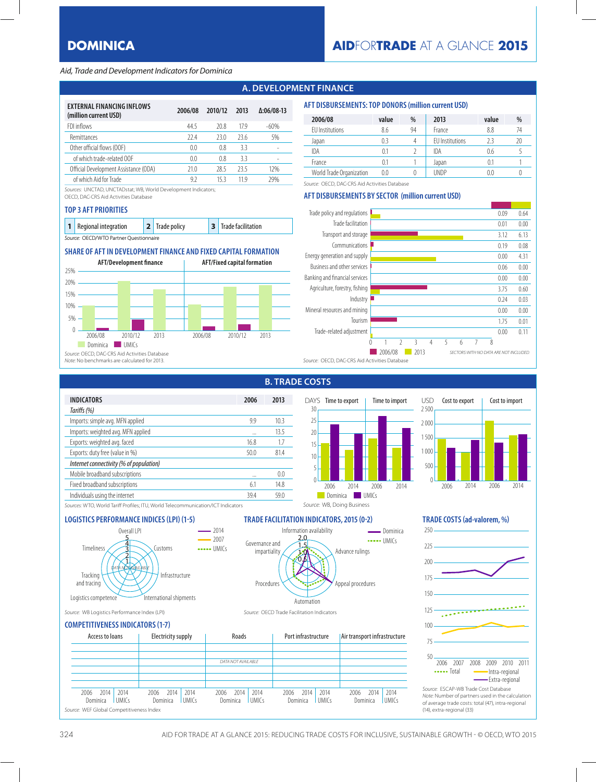## Aid, Trade and Development Indicators for Dominica

# **A. DEVELOPMENT FINANCE**

| <b>EXTERNAL FINANCING INFLOWS</b><br>(million current USD) | 2006/08        | 2010/12 | 2013 | $\Delta:06/08-13$ |
|------------------------------------------------------------|----------------|---------|------|-------------------|
| FDI inflows                                                | 44.5           | 20.8    | 179  | $-60%$            |
| Remittances                                                | 224            | 23.0    | 236  | 5%                |
| Other official flows (OOF)                                 | 0 <sub>0</sub> | 0.8     | 33   |                   |
| of which trade-related OOF                                 | 0.0            | 0.8     | 33   |                   |
| Official Development Assistance (ODA)                      | 21.0           | 28.5    | 23.5 | 12%               |
| of which Aid for Trade                                     | 92             | 15 3    | 11 9 | 29%               |

Sources: UNCTAD, UNCTADstat: WB, World Development Indicators;

OECD, DAC-CRS Aid Activities Database

### **TOP 3 AFT PRIORITIES**

| 1 Regional integration                 |  | 2 Trade policy |  | 3 Trade facilitation |  |  |  |  |  |
|----------------------------------------|--|----------------|--|----------------------|--|--|--|--|--|
| Source: OECD/WTO Partner Ouestionnaire |  |                |  |                      |  |  |  |  |  |

## **SHARE OF AFT IN DEVELOPMENT FINANCE AND FIXED CAPITAL FORMATION**



| AFT DISBURSEMENTS: TUP DUNURS (MIIIIION CUITENT USD) |       |      |      |       |  |
|------------------------------------------------------|-------|------|------|-------|--|
| 2006/08                                              | value | $\%$ | 2013 | value |  |

**AFT DISBURSEMENTS: TOP DONORS (million current USD)**

| zuuu, uu                 | valuc | $\sqrt{0}$ | נו טב                  | valuc | $\sqrt{0}$ |
|--------------------------|-------|------------|------------------------|-------|------------|
| <b>EU</b> Institutions   | 8.6   | 94         | France                 | 8.8   | 74         |
| Japan                    | 0.3   |            | <b>EU</b> Institutions |       | 20         |
| IDA                      | 0.1   |            | IDA                    | 0.6   |            |
| France                   | 0.1   |            | Japan                  |       |            |
| World Trade Organization | 0.0   |            | UNDP                   | 0.0   |            |

Source: OECD, DAC-CRS Aid Activities Database

## **AFT DISBURSEMENTS BY SECTOR (million current USD)**



**B. TRADE COSTS**

| <b>INDICATORS</b>                       | 2006 | 2013            |
|-----------------------------------------|------|-----------------|
| Tariffs (%)                             |      |                 |
| Imports: simple avg. MFN applied        | 9.9  | 10 <sup>3</sup> |
| Imports: weighted avg. MFN applied      |      | 135             |
| Exports: weighted avg. faced            | 16.8 | 1.7             |
| Exports: duty free (value in %)         | 50.0 | 814             |
| Internet connectivity (% of population) |      |                 |
| Mobile broadband subscriptions          |      | 0 <sub>0</sub>  |
| Fixed broadband subscriptions           | 61   | 148             |
| Individuals using the internet          | 394  | 590             |
|                                         |      |                 |





Sources: WTO, World Tariff Profiles; ITU, World Telecommunication/ICT Indicators



**LOGISTICS PERFORMANCE INDICES (LPI) (1-5)** TRADE FACILITATION INDICATORS, 2015 (0-2) TRADE COSTS (ad-valorem, %)

Source: WB, Doing Business





250

Source: ESCAP-WB Trade Cost Database Note: Number of partners used in the calculation of average trade costs: total (47), intra-regional (14), extra-regional (33)

## Source: WB Logistics Performance Index (LPI) Source: OECD Trade Facilitation Indicators

## **COMPETITIVENESS INDICATORS (1-7)**

| Access to loans |                                          | Electricity supply   |                  | Roads |                      | Port infrastructure |                    | Air transport infrastructure |                  |      |                      |                  |      |                      |  |
|-----------------|------------------------------------------|----------------------|------------------|-------|----------------------|---------------------|--------------------|------------------------------|------------------|------|----------------------|------------------|------|----------------------|--|
|                 |                                          |                      |                  |       |                      |                     |                    |                              |                  |      |                      |                  |      |                      |  |
|                 |                                          |                      |                  |       |                      |                     | DATA NOT AVAILABLE |                              |                  |      |                      |                  |      |                      |  |
|                 |                                          |                      |                  |       |                      |                     |                    |                              |                  |      |                      |                  |      |                      |  |
|                 |                                          |                      |                  |       |                      |                     |                    |                              |                  |      |                      |                  |      |                      |  |
|                 | 2014<br>2006<br>Dominica                 | 2014<br><b>UMICs</b> | 2006<br>Dominica | 2014  | 2014<br><b>UMICs</b> | 2006                | 2014<br>Dominica   | 2014<br><b>UMICs</b>         | 2006<br>Dominica | 2014 | 2014<br><b>UMICs</b> | 2006<br>Dominica | 2014 | 2014<br><b>UMICs</b> |  |
|                 | Source: WEF Global Competitiveness Index |                      |                  |       |                      |                     |                    |                              |                  |      |                      |                  |      |                      |  |